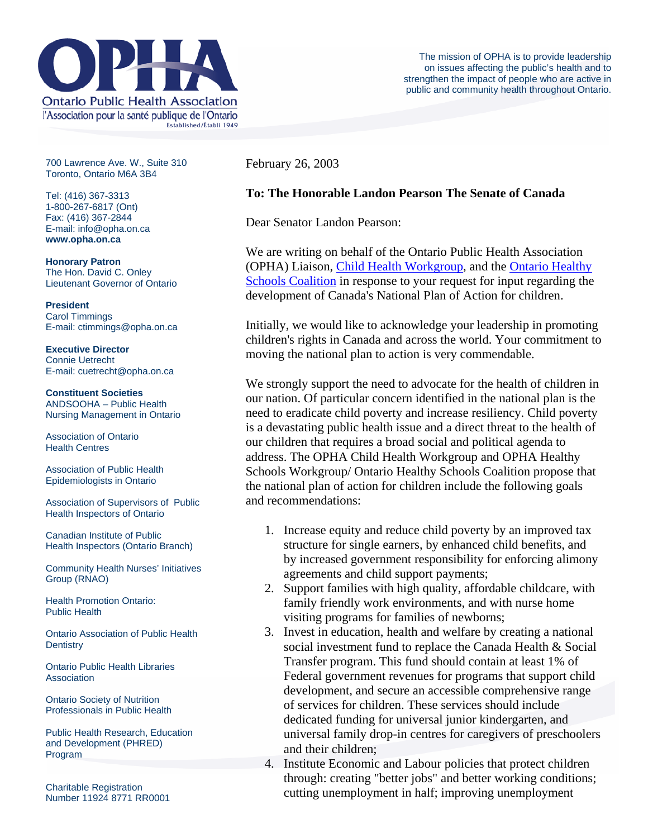

700 Lawrence Ave. W., Suite 310 Toronto, Ontario M6A 3B4

Tel: (416) 367-3313 1-800-267-6817 (Ont) Fax: (416) 367-2844 E-mail: info@opha.on.ca **www.opha.on.ca** 

**Honorary Patron**  The Hon. David C. Onley Lieutenant Governor of Ontario

**President**  Carol Timmings E-mail: ctimmings@opha.on.ca

**Executive Director**  Connie Uetrecht E-mail: cuetrecht@opha.on.ca

**Constituent Societies**  ANDSOOHA – Public Health Nursing Management in Ontario

Association of Ontario Health Centres

Association of Public Health Epidemiologists in Ontario

Association of Supervisors of Public Health Inspectors of Ontario

Canadian Institute of Public Health Inspectors (Ontario Branch)

Community Health Nurses' Initiatives Group (RNAO)

Health Promotion Ontario: Public Health

Ontario Association of Public Health **Dentistry** 

Ontario Public Health Libraries **Association** 

Ontario Society of Nutrition Professionals in Public Health

Public Health Research, Education and Development (PHRED) Program

Charitable Registration Number 11924 8771 RR0001 February 26, 2003

## **To: The Honorable Landon Pearson The Senate of Canada**

Dear Senator Landon Pearson:

We are writing on behalf of the Ontario Public Health Association (OPHA) Liaison, [Child Health Workgroup,](http://76.74.186.129/advocacy/workgroups/child.html) and the [Ontario Healthy](http://76.74.186.129/ohsc/index.html)  [Schools Coalition](http://76.74.186.129/ohsc/index.html) in response to your request for input regarding the development of Canada's National Plan of Action for children.

Initially, we would like to acknowledge your leadership in promoting children's rights in Canada and across the world. Your commitment to moving the national plan to action is very commendable.

We strongly support the need to advocate for the health of children in our nation. Of particular concern identified in the national plan is the need to eradicate child poverty and increase resiliency. Child poverty is a devastating public health issue and a direct threat to the health of our children that requires a broad social and political agenda to address. The OPHA Child Health Workgroup and OPHA Healthy Schools Workgroup/ Ontario Healthy Schools Coalition propose that the national plan of action for children include the following goals and recommendations:

- 1. Increase equity and reduce child poverty by an improved tax structure for single earners, by enhanced child benefits, and by increased government responsibility for enforcing alimony agreements and child support payments;
- 2. Support families with high quality, affordable childcare, with family friendly work environments, and with nurse home visiting programs for families of newborns;
- 3. Invest in education, health and welfare by creating a national social investment fund to replace the Canada Health & Social Transfer program. This fund should contain at least 1% of Federal government revenues for programs that support child development, and secure an accessible comprehensive range of services for children. These services should include dedicated funding for universal junior kindergarten, and universal family drop-in centres for caregivers of preschoolers and their children;
- 4. Institute Economic and Labour policies that protect children through: creating "better jobs" and better working conditions; cutting unemployment in half; improving unemployment